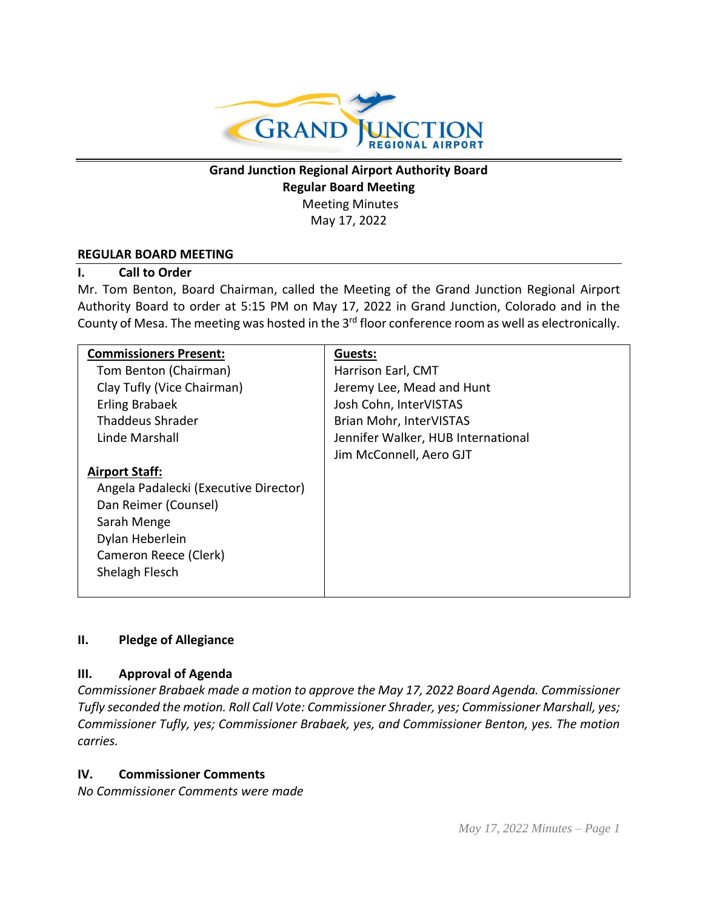

**Grand Junction Regional Airport Authority Board Regular Board Meeting** Meeting Minutes May 17, 2022

#### **REGULAR BOARD MEETING**

### **I. Call to Order**

Mr. Tom Benton, Board Chairman, called the Meeting of the Grand Junction Regional Airport Authority Board to order at 5:15 PM on May 17, 2022 in Grand Junction, Colorado and in the County of Mesa. The meeting was hosted in the 3<sup>rd</sup> floor conference room as well as electronically.

| <b>Commissioners Present:</b>         | Guests:                            |
|---------------------------------------|------------------------------------|
| Tom Benton (Chairman)                 | Harrison Earl, CMT                 |
| Clay Tufly (Vice Chairman)            | Jeremy Lee, Mead and Hunt          |
| Erling Brabaek                        | Josh Cohn, InterVISTAS             |
| <b>Thaddeus Shrader</b>               | Brian Mohr, InterVISTAS            |
| Linde Marshall                        | Jennifer Walker, HUB International |
|                                       | Jim McConnell, Aero GJT            |
| <b>Airport Staff:</b>                 |                                    |
| Angela Padalecki (Executive Director) |                                    |
| Dan Reimer (Counsel)                  |                                    |
| Sarah Menge                           |                                    |
| Dylan Heberlein                       |                                    |
| Cameron Reece (Clerk)                 |                                    |
| Shelagh Flesch                        |                                    |
|                                       |                                    |

### **II. Pledge of Allegiance**

### **III. Approval of Agenda**

*Commissioner Brabaek made a motion to approve the May 17, 2022 Board Agenda. Commissioner Tufly seconded the motion. Roll Call Vote: Commissioner Shrader, yes; Commissioner Marshall, yes; Commissioner Tufly, yes; Commissioner Brabaek, yes, and Commissioner Benton, yes. The motion carries.*

### **IV. Commissioner Comments**

*No Commissioner Comments were made*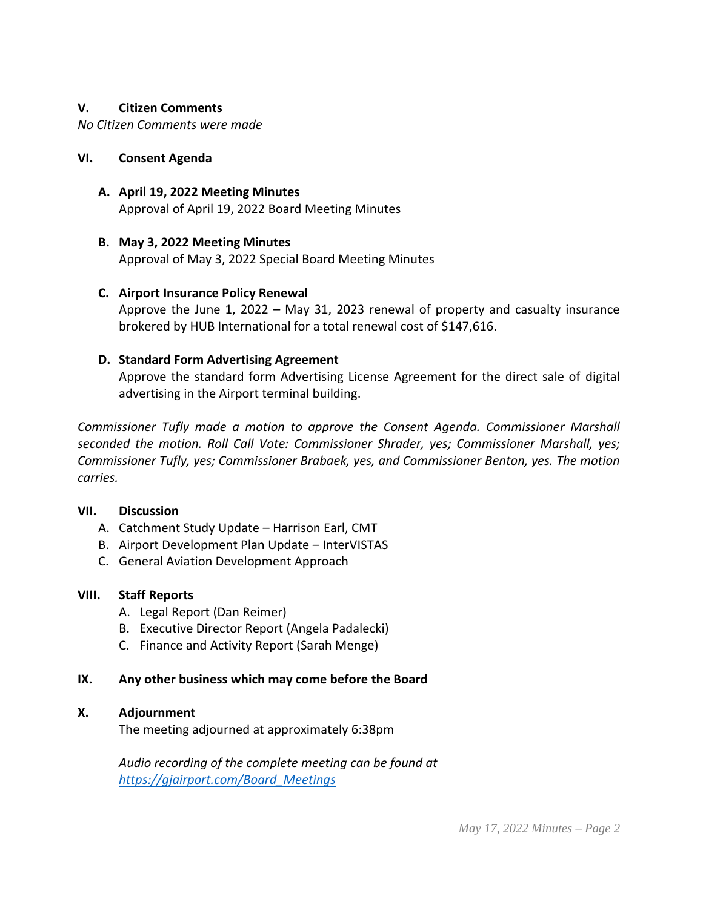### **V. Citizen Comments**

*No Citizen Comments were made*

### **VI. Consent Agenda**

**A. April 19, 2022 Meeting Minutes** Approval of April 19, 2022 Board Meeting Minutes

## **B. May 3, 2022 Meeting Minutes**

Approval of May 3, 2022 Special Board Meeting Minutes

## **C. Airport Insurance Policy Renewal**

Approve the June 1, 2022 – May 31, 2023 renewal of property and casualty insurance brokered by HUB International for a total renewal cost of \$147,616.

## **D. Standard Form Advertising Agreement**

Approve the standard form Advertising License Agreement for the direct sale of digital advertising in the Airport terminal building.

*Commissioner Tufly made a motion to approve the Consent Agenda. Commissioner Marshall seconded the motion. Roll Call Vote: Commissioner Shrader, yes; Commissioner Marshall, yes; Commissioner Tufly, yes; Commissioner Brabaek, yes, and Commissioner Benton, yes. The motion carries.*

### **VII. Discussion**

- A. Catchment Study Update Harrison Earl, CMT
- B. Airport Development Plan Update InterVISTAS
- C. General Aviation Development Approach

# **VIII. Staff Reports**

- A. Legal Report (Dan Reimer)
- B. Executive Director Report (Angela Padalecki)
- C. Finance and Activity Report (Sarah Menge)

# **IX. Any other business which may come before the Board**

# **X. Adjournment**

The meeting adjourned at approximately 6:38pm

*Audio recording of the complete meeting can be found at [https://gjairport.com/Board\\_Meetings](https://gjairport.com/Board_Meetings)*